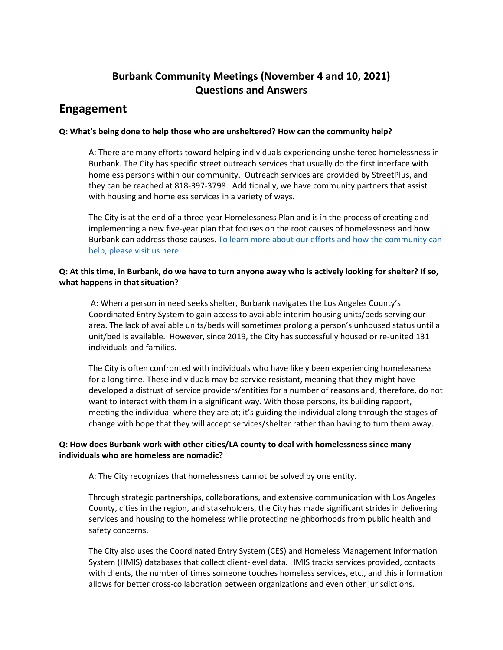## **Burbank Community Meetings (November 4 and 10, 2021) Questions and Answers**

## **Engagement**

## **Q: What's being done to help those who are unsheltered? How can the community help?**

A: There are many efforts toward helping individuals experiencing unsheltered homelessness in Burbank. The City has specific street outreach services that usually do the first interface with homeless persons within our community. Outreach services are provided by StreetPlus, and they can be reached at 818-397-3798. Additionally, we have community partners that assist with housing and homeless services in a variety of ways.

The City is at the end of a three-year Homelessness Plan and is in the process of creating and implementing a new five-year plan that focuses on the root causes of homelessness and how Burbank can address those causes. [To learn more about our efforts and how the community can](https://www.burbankca.gov/homelessness)  [help, please visit us here.](https://www.burbankca.gov/homelessness)

## **Q: At this time, in Burbank, do we have to turn anyone away who is actively looking for shelter? If so, what happens in that situation?**

A: When a person in need seeks shelter, Burbank navigates the Los Angeles County's Coordinated Entry System to gain access to available interim housing units/beds serving our area. The lack of available units/beds will sometimes prolong a person's unhoused status until a unit/bed is available. However, since 2019, the City has successfully housed or re-united 131 individuals and families.

The City is often confronted with individuals who have likely been experiencing homelessness for a long time. These individuals may be service resistant, meaning that they might have developed a distrust of service providers/entities for a number of reasons and, therefore, do not want to interact with them in a significant way. With those persons, its building rapport, meeting the individual where they are at; it's guiding the individual along through the stages of change with hope that they will accept services/shelter rather than having to turn them away.

## **Q: How does Burbank work with other cities/LA county to deal with homelessness since many individuals who are homeless are nomadic?**

A: The City recognizes that homelessness cannot be solved by one entity.

Through strategic partnerships, collaborations, and extensive communication with Los Angeles County, cities in the region, and stakeholders, the City has made significant strides in delivering services and housing to the homeless while protecting neighborhoods from public health and safety concerns.

The City also uses the Coordinated Entry System (CES) and Homeless Management Information System (HMIS) databases that collect client-level data. HMIS tracks services provided, contacts with clients, the number of times someone touches homeless services, etc., and this information allows for better cross-collaboration between organizations and even other jurisdictions.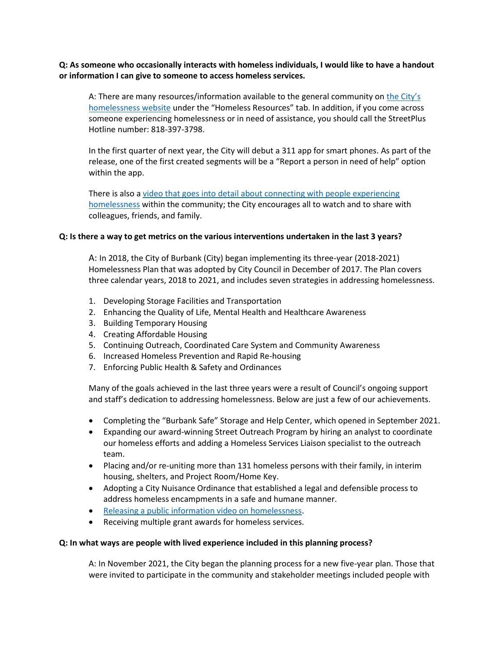**Q: As someone who occasionally interacts with homeless individuals, I would like to have a handout or information I can give to someone to access homeless services.**

A: There are many resources/information available to the general community on the City's [homelessness website](https://www.burbankca.gov/homelessness) under the "Homeless Resources" tab. In addition, if you come across someone experiencing homelessness or in need of assistance, you should call the StreetPlus Hotline number: 818-397-3798.

In the first quarter of next year, the City will debut a 311 app for smart phones. As part of the release, one of the first created segments will be a "Report a person in need of help" option within the app.

There is also a [video that goes into detail about connecting with people experiencing](https://www.youtube.com/watch?v=biPhmDeR0eM&t=5s)  [homelessness](https://www.youtube.com/watch?v=biPhmDeR0eM&t=5s) within the community; the City encourages all to watch and to share with colleagues, friends, and family.

#### **Q: Is there a way to get metrics on the various interventions undertaken in the last 3 years?**

A: In 2018, the City of Burbank (City) began implementing its three-year (2018-2021) Homelessness Plan that was adopted by City Council in December of 2017. The Plan covers three calendar years, 2018 to 2021, and includes seven strategies in addressing homelessness.

- 1. Developing Storage Facilities and Transportation
- 2. Enhancing the Quality of Life, Mental Health and Healthcare Awareness
- 3. Building Temporary Housing
- 4. Creating Affordable Housing
- 5. Continuing Outreach, Coordinated Care System and Community Awareness
- 6. Increased Homeless Prevention and Rapid Re-housing
- 7. Enforcing Public Health & Safety and Ordinances

Many of the goals achieved in the last three years were a result of Council's ongoing support and staff's dedication to addressing homelessness. Below are just a few of our achievements.

- Completing the "Burbank Safe" Storage and Help Center, which opened in September 2021.
- Expanding our award-winning Street Outreach Program by hiring an analyst to coordinate our homeless efforts and adding a Homeless Services Liaison specialist to the outreach team.
- Placing and/or re-uniting more than 131 homeless persons with their family, in interim housing, shelters, and Project Room/Home Key.
- Adopting a City Nuisance Ordinance that established a legal and defensible process to address homeless encampments in a safe and humane manner.
- [Releasing a public information video on homelessness.](https://youtu.be/biPhmDeR0eM)
- Receiving multiple grant awards for homeless services.

#### **Q: In what ways are people with lived experience included in this planning process?**

A: In November 2021, the City began the planning process for a new five-year plan. Those that were invited to participate in the community and stakeholder meetings included people with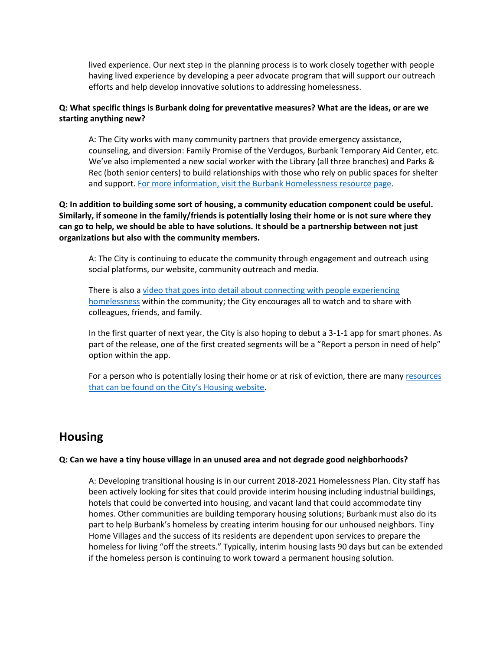lived experience. Our next step in the planning process is to work closely together with people having lived experience by developing a peer advocate program that will support our outreach efforts and help develop innovative solutions to addressing homelessness.

## **Q: What specific things is Burbank doing for preventative measures? What are the ideas, or are we starting anything new?**

A: The City works with many community partners that provide emergency assistance, counseling, and diversion: Family Promise of the Verdugos, Burbank Temporary Aid Center, etc. We've also implemented a new social worker with the Library (all three branches) and Parks & Rec (both senior centers) to build relationships with those who rely on public spaces for shelter and support. [For more information, visit the Burbank Homelessness resource page.](https://www.burbankca.gov/resources)

**Q: In addition to building some sort of housing, a community education component could be useful. Similarly, if someone in the family/friends is potentially losing their home or is not sure where they can go to help, we should be able to have solutions. It should be a partnership between not just organizations but also with the community members.**

A: The City is continuing to educate the community through engagement and outreach using social platforms, our website, community outreach and media.

There is also a [video that goes into detail about connecting with people experiencing](https://www.youtube.com/watch?v=biPhmDeR0eM&t=5s)  [homelessness](https://www.youtube.com/watch?v=biPhmDeR0eM&t=5s) within the community; the City encourages all to watch and to share with colleagues, friends, and family.

In the first quarter of next year, the City is also hoping to debut a 3-1-1 app for smart phones. As part of the release, one of the first created segments will be a "Report a person in need of help" option within the app.

For a person who is potentially losing their home or at risk of eviction, there are many [resources](https://www.burbankca.gov/web/community-development/housing)  [that can be found on the City's Housing website](https://www.burbankca.gov/web/community-development/housing).

# **Housing**

#### **Q: Can we have a tiny house village in an unused area and not degrade good neighborhoods?**

A: Developing transitional housing is in our current 2018-2021 Homelessness Plan. City staff has been actively looking for sites that could provide interim housing including industrial buildings, hotels that could be converted into housing, and vacant land that could accommodate tiny homes. Other communities are building temporary housing solutions; Burbank must also do its part to help Burbank's homeless by creating interim housing for our unhoused neighbors. Tiny Home Villages and the success of its residents are dependent upon services to prepare the homeless for living "off the streets." Typically, interim housing lasts 90 days but can be extended if the homeless person is continuing to work toward a permanent housing solution.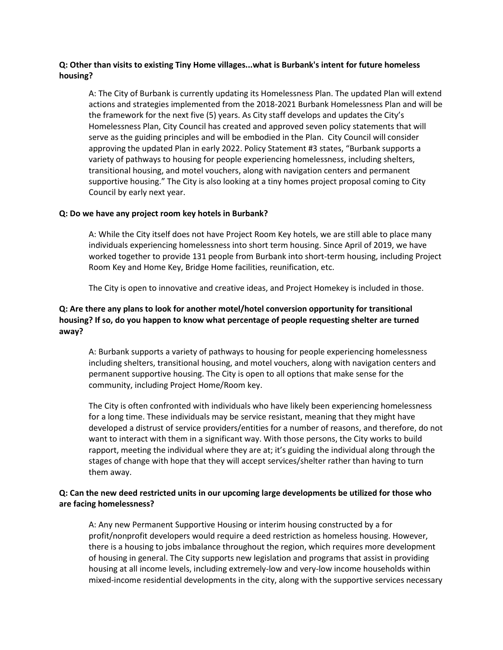## **Q: Other than visits to existing Tiny Home villages...what is Burbank's intent for future homeless housing?**

A: The City of Burbank is currently updating its Homelessness Plan. The updated Plan will extend actions and strategies implemented from the 2018-2021 Burbank Homelessness Plan and will be the framework for the next five (5) years. As City staff develops and updates the City's Homelessness Plan, City Council has created and approved seven policy statements that will serve as the guiding principles and will be embodied in the Plan. City Council will consider approving the updated Plan in early 2022. Policy Statement #3 states, "Burbank supports a variety of pathways to housing for people experiencing homelessness, including shelters, transitional housing, and motel vouchers, along with navigation centers and permanent supportive housing." The City is also looking at a tiny homes project proposal coming to City Council by early next year.

#### **Q: Do we have any project room key hotels in Burbank?**

A: While the City itself does not have Project Room Key hotels, we are still able to place many individuals experiencing homelessness into short term housing. Since April of 2019, we have worked together to provide 131 people from Burbank into short-term housing, including Project Room Key and Home Key, Bridge Home facilities, reunification, etc.

The City is open to innovative and creative ideas, and Project Homekey is included in those.

## **Q: Are there any plans to look for another motel/hotel conversion opportunity for transitional housing? If so, do you happen to know what percentage of people requesting shelter are turned away?**

A: Burbank supports a variety of pathways to housing for people experiencing homelessness including shelters, transitional housing, and motel vouchers, along with navigation centers and permanent supportive housing. The City is open to all options that make sense for the community, including Project Home/Room key.

The City is often confronted with individuals who have likely been experiencing homelessness for a long time. These individuals may be service resistant, meaning that they might have developed a distrust of service providers/entities for a number of reasons, and therefore, do not want to interact with them in a significant way. With those persons, the City works to build rapport, meeting the individual where they are at; it's guiding the individual along through the stages of change with hope that they will accept services/shelter rather than having to turn them away.

### **Q: Can the new deed restricted units in our upcoming large developments be utilized for those who are facing homelessness?**

A: Any new Permanent Supportive Housing or interim housing constructed by a for profit/nonprofit developers would require a deed restriction as homeless housing. However, there is a housing to jobs imbalance throughout the region, which requires more development of housing in general. The City supports new legislation and programs that assist in providing housing at all income levels, including extremely-low and very-low income households within mixed-income residential developments in the city, along with the supportive services necessary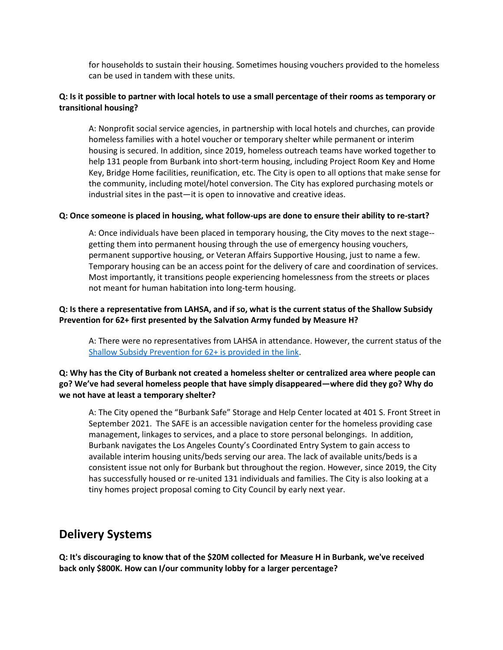for households to sustain their housing. Sometimes housing vouchers provided to the homeless can be used in tandem with these units.

## **Q: Is it possible to partner with local hotels to use a small percentage of their rooms as temporary or transitional housing?**

A: Nonprofit social service agencies, in partnership with local hotels and churches, can provide homeless families with a hotel voucher or temporary shelter while permanent or interim housing is secured. In addition, since 2019, homeless outreach teams have worked together to help 131 people from Burbank into short-term housing, including Project Room Key and Home Key, Bridge Home facilities, reunification, etc. The City is open to all options that make sense for the community, including motel/hotel conversion. The City has explored purchasing motels or industrial sites in the past—it is open to innovative and creative ideas.

#### **Q: Once someone is placed in housing, what follow-ups are done to ensure their ability to re-start?**

A: Once individuals have been placed in temporary housing, the City moves to the next stage- getting them into permanent housing through the use of emergency housing vouchers, permanent supportive housing, or Veteran Affairs Supportive Housing, just to name a few. Temporary housing can be an access point for the delivery of care and coordination of services. Most importantly, it transitions people experiencing homelessness from the streets or places not meant for human habitation into long-term housing.

## **Q: Is there a representative from LAHSA, and if so, what is the current status of the Shallow Subsidy Prevention for 62+ first presented by the Salvation Army funded by Measure H?**

A: There were no representatives from LAHSA in attendance. However, the current status of the [Shallow Subsidy Prevention for 62+ is provided in the link.](https://cis.salvationarmy.org/cis/supportive-housing/#:~:text=SHALLOW%20SUBSIDY%20PROGRAM%20%E2%80%93%20INDIVIDUALS%20%26%20FAMILIES&text=The%20program%20provides%20individuals%20with,on%20their%20level%20of%20need.)

## **Q: Why has the City of Burbank not created a homeless shelter or centralized area where people can go? We've had several homeless people that have simply disappeared—where did they go? Why do we not have at least a temporary shelter?**

A: The City opened the "Burbank Safe" Storage and Help Center located at 401 S. Front Street in September 2021. The SAFE is an accessible navigation center for the homeless providing case management, linkages to services, and a place to store personal belongings. In addition, Burbank navigates the Los Angeles County's Coordinated Entry System to gain access to available interim housing units/beds serving our area. The lack of available units/beds is a consistent issue not only for Burbank but throughout the region. However, since 2019, the City has successfully housed or re-united 131 individuals and families. The City is also looking at a tiny homes project proposal coming to City Council by early next year.

## **Delivery Systems**

**Q: It's discouraging to know that of the \$20M collected for Measure H in Burbank, we've received back only \$800K. How can I/our community lobby for a larger percentage?**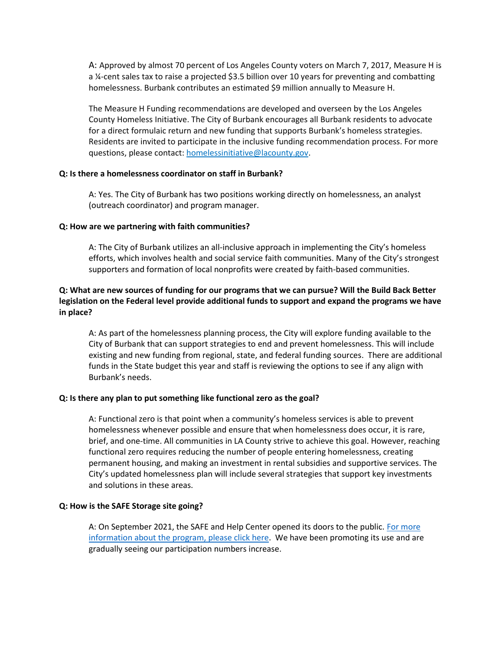A: Approved by almost 70 percent of Los Angeles County voters on March 7, 2017, Measure H is a ¼-cent sales tax to raise a projected \$3.5 billion over 10 years for preventing and combatting homelessness. Burbank contributes an estimated \$9 million annually to Measure H.

The Measure H Funding recommendations are developed and overseen by the Los Angeles County Homeless Initiative. The City of Burbank encourages all Burbank residents to advocate for a direct formulaic return and new funding that supports Burbank's homeless strategies. Residents are invited to participate in the inclusive funding recommendation process. For more questions, please contact: [homelessinitiative@lacounty.gov.](mailto:homelessinitiative@lacounty.gov)

#### **Q: Is there a homelessness coordinator on staff in Burbank?**

A: Yes. The City of Burbank has two positions working directly on homelessness, an analyst (outreach coordinator) and program manager.

#### **Q: How are we partnering with faith communities?**

A: The City of Burbank utilizes an all-inclusive approach in implementing the City's homeless efforts, which involves health and social service faith communities. Many of the City's strongest supporters and formation of local nonprofits were created by faith-based communities.

### **Q: What are new sources of funding for our programs that we can pursue? Will the Build Back Better legislation on the Federal level provide additional funds to support and expand the programs we have in place?**

A: As part of the homelessness planning process, the City will explore funding available to the City of Burbank that can support strategies to end and prevent homelessness. This will include existing and new funding from regional, state, and federal funding sources. There are additional funds in the State budget this year and staff is reviewing the options to see if any align with Burbank's needs.

#### **Q: Is there any plan to put something like functional zero as the goal?**

A: Functional zero is that point when a community's homeless services is able to prevent homelessness whenever possible and ensure that when homelessness does occur, it is rare, brief, and one-time. All communities in LA County strive to achieve this goal. However, reaching functional zero requires reducing the number of people entering homelessness, creating permanent housing, and making an investment in rental subsidies and supportive services. The City's updated homelessness plan will include several strategies that support key investments and solutions in these areas.

#### **Q: How is the SAFE Storage site going?**

A: On September 2021, the SAFE and Help Center opened its doors to the public. For more [information about the program, please c](https://www.burbankca.gov/resources)lick here. We have been promoting its use and are gradually seeing our participation numbers increase.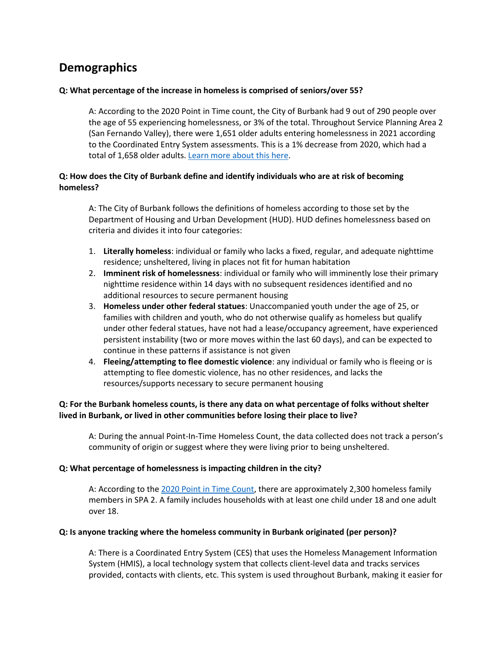# **Demographics**

### **Q: What percentage of the increase in homeless is comprised of seniors/over 55?**

A: According to the 2020 Point in Time count, the City of Burbank had 9 out of 290 people over the age of 55 experiencing homelessness, or 3% of the total. Throughout Service Planning Area 2 (San Fernando Valley), there were 1,651 older adults entering homelessness in 2021 according to the Coordinated Entry System assessments. This is a 1% decrease from 2020, which had a total of 1,658 older adults. [Learn more about this here.](https://www.lahsa.org/data?id=49-older-adult-55-)

## **Q: How does the City of Burbank define and identify individuals who are at risk of becoming homeless?**

A: The City of Burbank follows the definitions of homeless according to those set by the Department of Housing and Urban Development (HUD). HUD defines homelessness based on criteria and divides it into four categories:

- 1. **Literally homeless**: individual or family who lacks a fixed, regular, and adequate nighttime residence; unsheltered, living in places not fit for human habitation
- 2. **Imminent risk of homelessness**: individual or family who will imminently lose their primary nighttime residence within 14 days with no subsequent residences identified and no additional resources to secure permanent housing
- 3. **Homeless under other federal statues**: Unaccompanied youth under the age of 25, or families with children and youth, who do not otherwise qualify as homeless but qualify under other federal statues, have not had a lease/occupancy agreement, have experienced persistent instability (two or more moves within the last 60 days), and can be expected to continue in these patterns if assistance is not given
- 4. **Fleeing/attempting to flee domestic violence**: any individual or family who is fleeing or is attempting to flee domestic violence, has no other residences, and lacks the resources/supports necessary to secure permanent housing

## **Q: For the Burbank homeless counts, is there any data on what percentage of folks without shelter lived in Burbank, or lived in other communities before losing their place to live?**

A: During the annual Point-In-Time Homeless Count, the data collected does not track a person's community of origin or suggest where they were living prior to being unsheltered.

### **Q: What percentage of homelessness is impacting children in the city?**

A: According to the [2020 Point in Time Count,](https://www.lahsa.org/data-refresh) there are approximately 2,300 homeless family members in SPA 2. A family includes households with at least one child under 18 and one adult over 18.

#### **Q: Is anyone tracking where the homeless community in Burbank originated (per person)?**

A: There is a Coordinated Entry System (CES) that uses the Homeless Management Information System (HMIS), a local technology system that collects client-level data and tracks services provided, contacts with clients, etc. This system is used throughout Burbank, making it easier for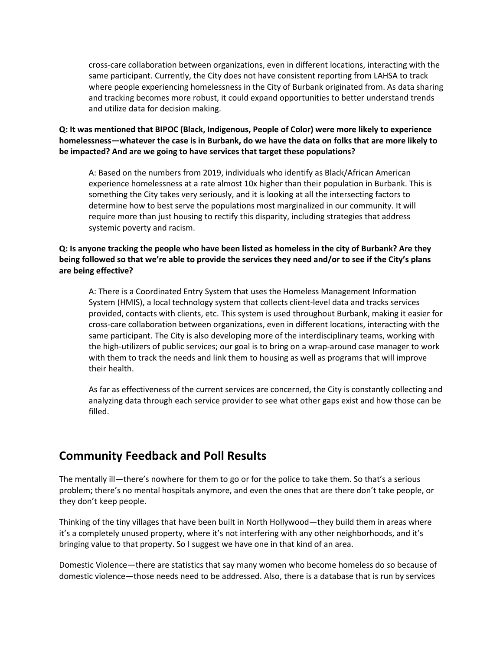cross-care collaboration between organizations, even in different locations, interacting with the same participant. Currently, the City does not have consistent reporting from LAHSA to track where people experiencing homelessness in the City of Burbank originated from. As data sharing and tracking becomes more robust, it could expand opportunities to better understand trends and utilize data for decision making.

## **Q: It was mentioned that BIPOC (Black, Indigenous, People of Color) were more likely to experience homelessness—whatever the case is in Burbank, do we have the data on folks that are more likely to be impacted? And are we going to have services that target these populations?**

A: Based on the numbers from 2019, individuals who identify as Black/African American experience homelessness at a rate almost 10x higher than their population in Burbank. This is something the City takes very seriously, and it is looking at all the intersecting factors to determine how to best serve the populations most marginalized in our community. It will require more than just housing to rectify this disparity, including strategies that address systemic poverty and racism.

### **Q: Is anyone tracking the people who have been listed as homeless in the city of Burbank? Are they being followed so that we're able to provide the services they need and/or to see if the City's plans are being effective?**

A: There is a Coordinated Entry System that uses the Homeless Management Information System (HMIS), a local technology system that collects client-level data and tracks services provided, contacts with clients, etc. This system is used throughout Burbank, making it easier for cross-care collaboration between organizations, even in different locations, interacting with the same participant. The City is also developing more of the interdisciplinary teams, working with the high-utilizers of public services; our goal is to bring on a wrap-around case manager to work with them to track the needs and link them to housing as well as programs that will improve their health.

As far as effectiveness of the current services are concerned, the City is constantly collecting and analyzing data through each service provider to see what other gaps exist and how those can be filled.

# **Community Feedback and Poll Results**

The mentally ill—there's nowhere for them to go or for the police to take them. So that's a serious problem; there's no mental hospitals anymore, and even the ones that are there don't take people, or they don't keep people.

Thinking of the tiny villages that have been built in North Hollywood—they build them in areas where it's a completely unused property, where it's not interfering with any other neighborhoods, and it's bringing value to that property. So I suggest we have one in that kind of an area.

Domestic Violence—there are statistics that say many women who become homeless do so because of domestic violence—those needs need to be addressed. Also, there is a database that is run by services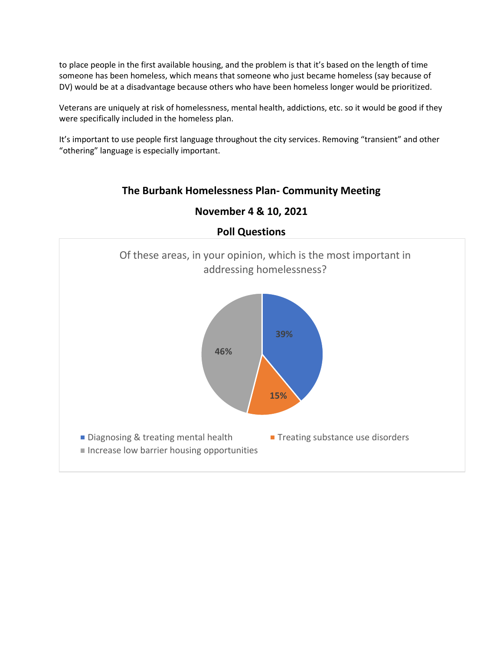to place people in the first available housing, and the problem is that it's based on the length of time someone has been homeless, which means that someone who just became homeless (say because of DV) would be at a disadvantage because others who have been homeless longer would be prioritized.

Veterans are uniquely at risk of homelessness, mental health, addictions, etc. so it would be good if they were specifically included in the homeless plan.

It's important to use people first language throughout the city services. Removing "transient" and other "othering" language is especially important.

## **The Burbank Homelessness Plan- Community Meeting**



# **November 4 & 10, 2021**